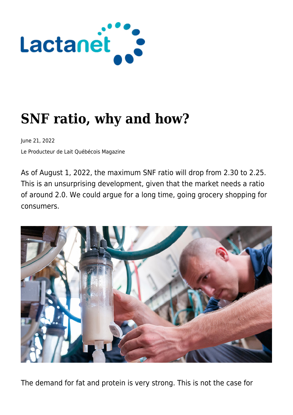

# **SNF ratio, why and how?**

June 21, 2022

Le Producteur de Lait Québécois Magazine

As of August 1, 2022, the maximum SNF ratio will drop from 2.30 to 2.25. This is an unsurprising development, given that the market needs a ratio of around 2.0. We could argue for a long time, going grocery shopping for consumers.



The demand for fat and protein is very strong. This is not the case for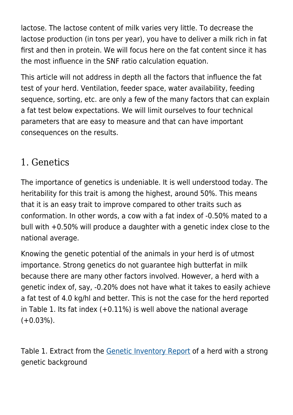lactose. The lactose content of milk varies very little. To decrease the lactose production (in tons per year), you have to deliver a milk rich in fat first and then in protein. We will focus here on the fat content since it has the most influence in the SNF ratio calculation equation.

This article will not address in depth all the factors that influence the fat test of your herd. Ventilation, feeder space, water availability, feeding sequence, sorting, etc. are only a few of the many factors that can explain a fat test below expectations. We will limit ourselves to four technical parameters that are easy to measure and that can have important consequences on the results.

#### 1. Genetics

The importance of genetics is undeniable. It is well understood today. The heritability for this trait is among the highest, around 50%. This means that it is an easy trait to improve compared to other traits such as conformation. In other words, a cow with a fat index of -0.50% mated to a bull with +0.50% will produce a daughter with a genetic index close to the national average.

Knowing the genetic potential of the animals in your herd is of utmost importance. Strong genetics do not guarantee high butterfat in milk because there are many other factors involved. However, a herd with a genetic index of, say, -0.20% does not have what it takes to easily achieve a fat test of 4.0 kg/hl and better. This is not the case for the herd reported in Table 1. Its fat index (+0.11%) is well above the national average  $(+0.03\%)$ .

Table 1. Extract from the [Genetic Inventory Report](https://lactanet.ca/en/genetic-herd-inventory-report/) of a herd with a strong genetic background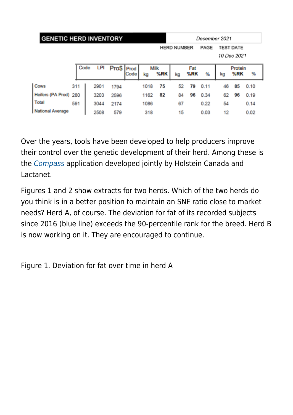| <b>GENETIC HERD INVENTORY</b> |     |      |  |      |              |      | December 2021 |             |                            |            |      |                                 |                |      |
|-------------------------------|-----|------|--|------|--------------|------|---------------|-------------|----------------------------|------------|------|---------------------------------|----------------|------|
|                               |     |      |  |      |              |      |               |             | <b>HERD NUMBER</b><br>PAGE |            |      | <b>TEST DATE</b><br>10 Dec 2021 |                |      |
|                               |     | Code |  | LPI  | Pro\$   Prod | Code | kg            | Milk<br>%RK | kg                         | Fat<br>%RK | %    | kg                              | Protein<br>%RK | %    |
| Cows                          | 311 |      |  | 2901 | 1794         |      | 1018          | 75          | 52                         | 79         | 0.11 | 46                              | 85             | 0.10 |
| Heifers (PA Prod)             | 280 |      |  | 3203 | 2596         |      | 1162          | 82          | 84                         | 96         | 0.34 | 62                              | 96             | 0.19 |
| <b>Total</b>                  | 591 |      |  | 3044 | 2174         |      | 1086          |             | 67                         |            | 0.22 | 54                              |                | 0.14 |
| <b>National Average</b>       |     |      |  | 2508 | 579          |      | 318           |             | 15                         |            | 0.03 | 12                              |                | 0.02 |

Over the years, tools have been developed to help producers improve their control over the genetic development of their herd. Among these is the [Compass](https://www.compasscan.ca/welcome.php) application developed jointly by Holstein Canada and Lactanet.

Figures 1 and 2 show extracts for two herds. Which of the two herds do you think is in a better position to maintain an SNF ratio close to market needs? Herd A, of course. The deviation for fat of its recorded subjects since 2016 (blue line) exceeds the 90-percentile rank for the breed. Herd B is now working on it. They are encouraged to continue.

Figure 1. Deviation for fat over time in herd A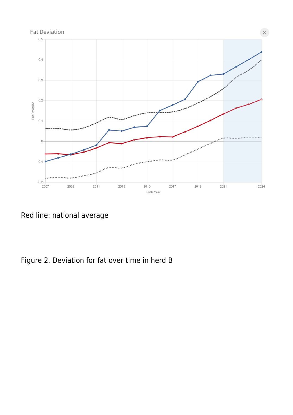

Red line: national average

Figure 2. Deviation for fat over time in herd B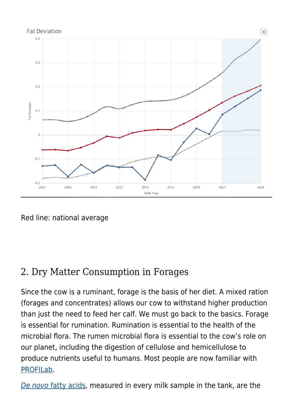

Red line: national average

## 2. Dry Matter Consumption in Forages

Since the cow is a ruminant, forage is the basis of her diet. A mixed ration (forages and concentrates) allows our cow to withstand higher production than just the need to feed her calf. We must go back to the basics. Forage is essential for rumination. Rumination is essential to the health of the microbial flora. The rumen microbial flora is essential to the cow's role on our planet, including the digestion of cellulose and hemicellulose to produce nutrients useful to humans. Most people are now familiar with [PROFILab.](https://lactanet.ca/en/thematique/profilab-analysis/)

[De novo](https://lactanet.ca/en/management-practices-that-promote-de-novo-fatty-acid-production/) [fatty acids,](https://lactanet.ca/en/management-practices-that-promote-de-novo-fatty-acid-production/) measured in every milk sample in the tank, are the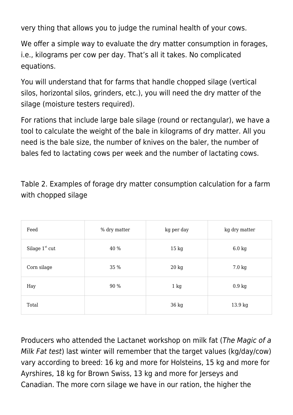very thing that allows you to judge the ruminal health of your cows.

We offer a simple way to evaluate the dry matter consumption in forages, i.e., kilograms per cow per day. That's all it takes. No complicated equations.

You will understand that for farms that handle chopped silage (vertical silos, horizontal silos, grinders, etc.), you will need the dry matter of the silage (moisture testers required).

For rations that include large bale silage (round or rectangular), we have a tool to calculate the weight of the bale in kilograms of dry matter. All you need is the bale size, the number of knives on the baler, the number of bales fed to lactating cows per week and the number of lactating cows.

Table 2. Examples of forage dry matter consumption calculation for a farm with chopped silage

| Feed             | % dry matter | kg per day      | kg dry matter      |
|------------------|--------------|-----------------|--------------------|
| Silage $1st$ cut | 40 %         | $15 \text{ kg}$ | $6.0 \text{ kg}$   |
| Corn silage      | 35 %         | $20 \text{ kg}$ | 7.0 kg             |
| Hay              | 90 %         | $1 \text{ kg}$  | $0.9\ \mathrm{kg}$ |
| Total            |              | 36 kg           | 13.9 kg            |

Producers who attended the Lactanet workshop on milk fat (The Magic of a Milk Fat test) last winter will remember that the target values (kg/day/cow) vary according to breed: 16 kg and more for Holsteins, 15 kg and more for Ayrshires, 18 kg for Brown Swiss, 13 kg and more for Jerseys and Canadian. The more corn silage we have in our ration, the higher the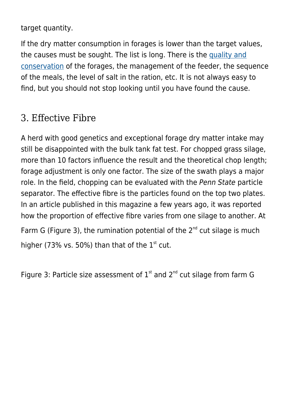target quantity.

If the dry matter consumption in forages is lower than the target values, the causes must be sought. The list is long. There is the [quality and](https://lactanet.ca/en/update-on-the-use-of-silage-inoculants/) [conservation](https://lactanet.ca/en/update-on-the-use-of-silage-inoculants/) of the forages, the management of the feeder, the sequence of the meals, the level of salt in the ration, etc. It is not always easy to find, but you should not stop looking until you have found the cause.

#### 3. Effective Fibre

A herd with good genetics and exceptional forage dry matter intake may still be disappointed with the bulk tank fat test. For chopped grass silage, more than 10 factors influence the result and the theoretical chop length; forage adjustment is only one factor. The size of the swath plays a major role. In the field, chopping can be evaluated with the Penn State particle separator. The effective fibre is the particles found on the top two plates. In an article published in this magazine a few years ago, it was reported how the proportion of effective fibre varies from one silage to another. At Farm G (Figure 3), the rumination potential of the  $2^{nd}$  cut silage is much higher (73% vs. 50%) than that of the  $1<sup>st</sup>$  cut.

Figure 3: Particle size assessment of  $1<sup>st</sup>$  and  $2<sup>nd</sup>$  cut silage from farm G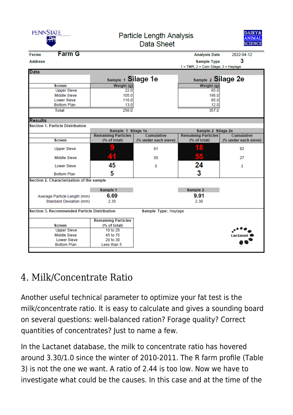| <b>PENNSTATE</b>                          |                                                     | <b>Particle Length Analysis</b> | DAIRY&<br><b>ANIMAL</b><br><b>SCIENCE</b> |                                              |                      |  |
|-------------------------------------------|-----------------------------------------------------|---------------------------------|-------------------------------------------|----------------------------------------------|----------------------|--|
| <b>Ferme</b>                              | <b>Farm G</b>                                       |                                 |                                           | <b>Analysis Date</b>                         | 2022-04-12           |  |
| <b>Address</b>                            |                                                     |                                 |                                           | <b>Sample Type</b>                           | 3                    |  |
|                                           |                                                     |                                 |                                           | $1 = TMR$ , $2 = Com Silage$ , $3 = Haylage$ |                      |  |
| <b>Data</b>                               |                                                     |                                 |                                           |                                              |                      |  |
|                                           |                                                     | Sample 1 Silage 1e              |                                           | Sample 2 Silage 2e                           |                      |  |
|                                           | <b>Screen</b>                                       | Weight (g)                      |                                           | Weight (g)                                   |                      |  |
|                                           | <b>Upper Sieve</b>                                  | 22.0                            |                                           | 65.0                                         |                      |  |
|                                           | <b>Middle Sieve</b>                                 | 105.0                           |                                           | 195.0                                        |                      |  |
|                                           | <b>Lower Sieve</b>                                  | 116.0                           |                                           | 85.0                                         |                      |  |
|                                           | <b>Bottom Plan</b>                                  | 13.0                            |                                           | 12.0                                         |                      |  |
|                                           | <b>Total</b>                                        | 256.0                           |                                           | 357.0                                        |                      |  |
| <b>Results</b>                            |                                                     |                                 |                                           |                                              |                      |  |
|                                           | <b>Section 1. Particle Distribution</b>             |                                 |                                           |                                              |                      |  |
|                                           |                                                     |                                 |                                           |                                              |                      |  |
|                                           |                                                     | Sample 1 Silage 1e              |                                           | Sample 2 Silage 2e                           |                      |  |
|                                           |                                                     | <b>Remaining Particles</b>      | Cumulative                                | <b>Remaining Particles</b>                   | Cumulative           |  |
|                                           | <b>Screen</b>                                       | (% of total)                    | (% under each sieve)                      | (% of total)                                 | (% under each sieve) |  |
|                                           | <b>Upper Sieve</b>                                  |                                 | 91                                        | 18                                           | 82                   |  |
|                                           | <b>Middle Sieve</b>                                 |                                 | 50                                        | 55                                           | 27                   |  |
|                                           | <b>Lower Sieve</b>                                  | 45                              | 5                                         | 24                                           | 3                    |  |
|                                           | <b>Bottom Plan</b>                                  | 5                               |                                           | 3                                            |                      |  |
| Section 2. Characterization of the sample |                                                     |                                 |                                           |                                              |                      |  |
|                                           |                                                     | Sample 1                        |                                           | Sample 2                                     |                      |  |
|                                           |                                                     | 6.69                            |                                           | 9.91                                         |                      |  |
|                                           | Average Particle Length (mm)                        |                                 |                                           |                                              |                      |  |
|                                           | Standard Deviation (mm)                             | 2.35                            |                                           | 2.30                                         |                      |  |
|                                           | <b>Section 3. Recommended Particle Distribution</b> |                                 | Sample Type: Haylage                      |                                              |                      |  |
|                                           |                                                     | <b>Remaining Particles</b>      |                                           |                                              |                      |  |
|                                           | <b>Screen</b>                                       | (% of total)                    |                                           |                                              |                      |  |
|                                           | <b>Upper Sieve</b>                                  | 10 to 20                        |                                           |                                              |                      |  |
|                                           | Middle Sieve                                        | 45 to 75                        |                                           |                                              | Lacta                |  |
| <b>Lower Sieve</b>                        |                                                     | 20 to 30                        |                                           |                                              |                      |  |
|                                           | <b>Bottom Plan</b>                                  | Less than 5                     |                                           |                                              |                      |  |
|                                           |                                                     |                                 |                                           |                                              |                      |  |

## 4. Milk/Concentrate Ratio

Another useful technical parameter to optimize your fat test is the milk/concentrate ratio. It is easy to calculate and gives a sounding board on several questions: well-balanced ration? Forage quality? Correct quantities of concentrates? Just to name a few.

In the Lactanet database, the milk to concentrate ratio has hovered around 3.30/1.0 since the winter of 2010-2011. The R farm profile (Table 3) is not the one we want. A ratio of 2.44 is too low. Now we have to investigate what could be the causes. In this case and at the time of the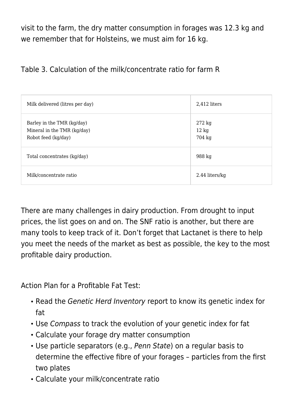visit to the farm, the dry matter consumption in forages was 12.3 kg and we remember that for Holsteins, we must aim for 16 kg.

Table 3. Calculation of the milk/concentrate ratio for farm R

| Milk delivered (litres per day)                                                  | 2,412 liters                                  |
|----------------------------------------------------------------------------------|-----------------------------------------------|
| Barley in the TMR (kg/day)<br>Mineral in the TMR (kg/day)<br>Robot feed (kg/day) | $272 \text{ kg}$<br>$12 \text{ kg}$<br>704 kg |
| Total concentrates (kg/day)                                                      | 988 kg                                        |
| Milk/concentrate ratio                                                           | 2.44 liters/kg                                |

There are many challenges in dairy production. From drought to input prices, the list goes on and on. The SNF ratio is another, but there are many tools to keep track of it. Don't forget that Lactanet is there to help you meet the needs of the market as best as possible, the key to the most profitable dairy production.

Action Plan for a Profitable Fat Test:

- Read the Genetic Herd Inventory report to know its genetic index for fat
- Use Compass to track the evolution of your genetic index for fat
- Calculate your forage dry matter consumption
- Use particle separators (e.g., Penn State) on a regular basis to determine the effective fibre of your forages – particles from the first two plates
- Calculate your milk/concentrate ratio